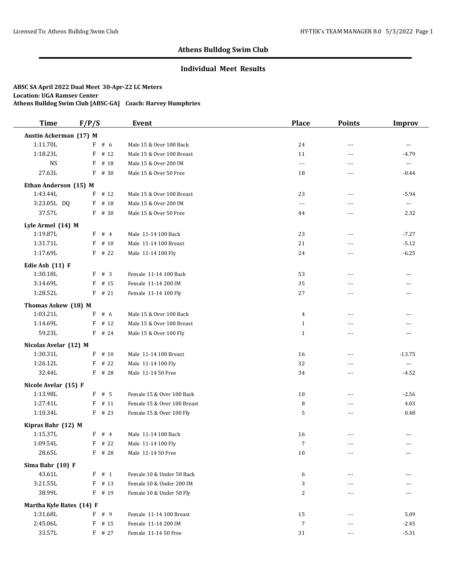### **Individual Meet Results**

| <b>Time</b>                     | F/P/S |          | Event                       | <b>Place</b>         | <b>Points</b>  | <b>Improv</b>            |
|---------------------------------|-------|----------|-----------------------------|----------------------|----------------|--------------------------|
| Austin Ackerman (17) M          |       |          |                             |                      |                |                          |
| 1:11.70L                        |       | $F$ # 6  | Male 15 & Over 100 Back     | 24                   | $---$          | ---                      |
| 1:18.23L                        | F     | # 12     | Male 15 & Over 100 Breast   | 11                   | $\sim$ $\sim$  | $-4.79$                  |
| <b>NS</b>                       | F     | # 18     | Male 15 & Over 200 IM       | $\overline{a}$       | $\sim$ $\sim$  | $\overline{\phantom{a}}$ |
| 27.63L                          | F     | # 30     | Male 15 & Over 50 Free      | 18                   | $- - -$        | $-0.44$                  |
| Ethan Anderson (15) M           |       |          |                             |                      |                |                          |
| 1:43.44L                        | F     | # 12     | Male 15 & Over 100 Breast   | 23                   | $---$          | $-5.94$                  |
| 3:23.05L DQ                     | F     | # 18     | Male 15 & Over 200 IM       | $\sim$ $\sim$ $\sim$ | $\sim$ $\sim$  | $\overline{\phantom{a}}$ |
| 37.57L                          |       | $F$ # 30 | Male 15 & Over 50 Free      | 44                   | $---$          | 2.32                     |
| Lyle Armel (14) M               |       |          |                             |                      |                |                          |
| 1:19.87L                        | F     | #4       | Male 11-14 100 Back         | 23                   | $---$          | $-7.27$                  |
| 1:31.71L                        | F     | # 10     | Male 11-14 100 Breast       | 21                   | $---$          | $-5.12$                  |
| 1:17.69L                        |       | $F$ # 22 | Male 11-14 100 Fly          | 24                   | $\overline{a}$ | $-6.25$                  |
| Edie Ash (11) F                 |       |          |                             |                      |                |                          |
| 1:30.18L                        | F     | # 3      | Female 11-14 100 Back       | 53                   | $\sim$ $\sim$  | ---                      |
| 3:14.69L                        |       | $F$ # 15 | Female 11-14 200 IM         | 35                   | ---            | ---                      |
| 1:28.52L                        |       | $F$ # 21 | Female 11-14 100 Fly        | 27                   | $- - -$        | ---                      |
|                                 |       |          |                             |                      |                |                          |
| Thomas Askew (18) M<br>1:03.21L | F     | # 6      | Male 15 & Over 100 Back     | $\overline{4}$       | $---$          | ---                      |
| 1:14.69L                        | F     | # 12     | Male 15 & Over 100 Breast   | $\mathbf{1}$         | $\overline{a}$ | ---                      |
| 59.23L                          |       | $F$ # 24 | Male 15 & Over 100 Fly      | $\mathbf{1}$         | $\overline{a}$ | ---                      |
|                                 |       |          |                             |                      |                |                          |
| Nicolas Avelar (12) M           |       |          |                             |                      |                |                          |
| 1:30.31L                        |       | $F$ # 10 | Male 11-14 100 Breast       | 16                   | $\sim$ $\sim$  | $-13.75$                 |
| 1:26.12L                        | F     | # 22     | Male 11-14 100 Fly          | 32                   | ---            | $\overline{\phantom{a}}$ |
| 32.44L                          |       | $F$ # 28 | Male 11-14 50 Free          | 34                   | $---$          | $-4.52$                  |
| Nicole Avelar (15) F            |       |          |                             |                      |                |                          |
| 1:13.98L                        |       | $F$ # 5  | Female 15 & Over 100 Back   | 10                   | $---$          | $-2.56$                  |
| 1:27.41L                        |       | $F$ # 11 | Female 15 & Over 100 Breast | 8                    | $---$          | 4.03                     |
| 1:10.34L                        |       | $F$ # 23 | Female 15 & Over 100 Fly    | 5                    | $---$          | 0.48                     |
| Kipras Bahr (12) M              |       |          |                             |                      |                |                          |
| 1:15.37L                        | F     | #4       | Male 11-14 100 Back         | 16                   | ---            | ---                      |
| 1:09.54L                        |       | $F$ # 22 | Male 11-14 100 Fly          | $\overline{7}$       | $\cdots$       | $\cdots$                 |
| 28.65L                          |       | F # 28   | Male 11-14 50 Free          | 10                   | ---            | $\cdots$                 |
| Sima Bahr (10) F                |       |          |                             |                      |                |                          |
| 43.61L                          |       | F # 1    | Female 10 & Under 50 Back   | 6                    |                | ---                      |
| 3:21.55L                        | F     | # 13     | Female 10 & Under 200 IM    | 3                    |                |                          |
| 38.99L                          |       | F # 19   | Female 10 & Under 50 Fly    | 2                    | ---            | ---                      |
| Martha Kyle Bates (14) F        |       |          |                             |                      |                |                          |
| 1:31.68L                        | F     | # 9      | Female 11-14 100 Breast     | 15                   |                | 5.09                     |
| 2:45.06L                        | F     | # 15     | Female 11-14 200 IM         | 7                    |                | $-2.45$                  |
| 33.57L                          | F     | # 27     | Female 11-14 50 Free        | 31                   |                | $-5.31$                  |
|                                 |       |          |                             |                      |                |                          |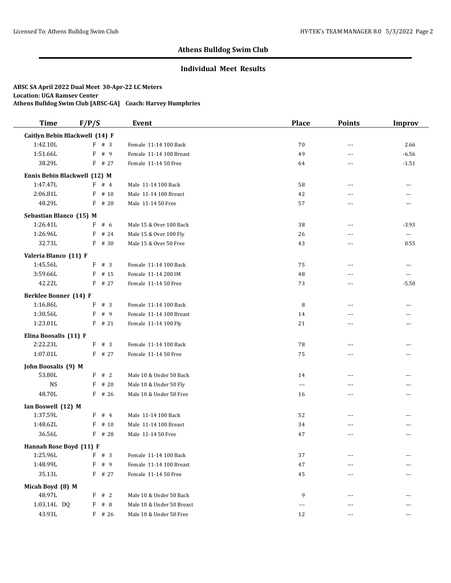## **Individual Meet Results**

| <b>Time</b>             | F/P/S                          | Event                     | <b>Place</b> | <b>Points</b>  | <b>Improv</b>            |
|-------------------------|--------------------------------|---------------------------|--------------|----------------|--------------------------|
|                         | Caitlyn Bebin Blackwell (14) F |                           |              |                |                          |
| 1:42.10L                | $F$ # 3                        | Female 11-14 100 Back     | 70           | $\sim$ $\sim$  | 2.66                     |
| 1:51.66L                | # 9<br>F                       | Female 11-14 100 Breast   | 49           | $\sim$ $\sim$  | $-6.56$                  |
| 38.29L                  | $F$ # 27                       | Female 11-14 50 Free      | 64           | $\sim$ $\sim$  | $-1.51$                  |
|                         | Ennis Bebin Blackwell (12) M   |                           |              |                |                          |
| 1:47.47L                | $F$ # 4                        | Male 11-14 100 Back       | 58           | $\sim$ $\sim$  | $---$                    |
| 2:06.81L                | # 10<br>F                      | Male 11-14 100 Breast     | 42           | ---            | ---                      |
| 48.29L                  | F<br># 28                      | Male 11-14 50 Free        | 57           | ---            | ---                      |
| Sebastian Blanco (15) M |                                |                           |              |                |                          |
| 1:26.41L                | $F$ # 6                        | Male 15 & Over 100 Back   | 38           | ---            | $-3.93$                  |
| 1:26.96L                | # 24<br>F                      | Male 15 & Over 100 Fly    | 26           | $---$          | $\overline{\phantom{a}}$ |
| 32.73L                  | $F$ # 30                       | Male 15 & Over 50 Free    | 43           | $---$          | 0.55                     |
| Valeria Blanco (11) F   |                                |                           |              |                |                          |
| 1:45.56L                | F # 3                          | Female 11-14 100 Back     | 75           | $---$          | ---                      |
| 3:59.66L                | # 15<br>F                      | Female 11-14 200 IM       | 48           | $\sim$ $\sim$  | $\overline{a}$           |
| 42.22L                  | F<br># 27                      | Female 11-14 50 Free      | 73           | $\sim$ $\sim$  | $-5.50$                  |
| Berklee Bonner (14) F   |                                |                           |              |                |                          |
| 1:16.86L                | # 3<br>F                       | Female 11-14 100 Back     | 8            | ---            | ---                      |
| 1:30.56L                | F<br># 9                       | Female 11-14 100 Breast   | 14           | $---$          | ---                      |
| 1:23.01L                | $F$ # 21                       | Female 11-14 100 Fly      | 21           | $\sim$ $\sim$  | ---                      |
| Elina Boosalis (11) F   |                                |                           |              |                |                          |
| 2:22.23L                | #3<br>F                        | Female 11-14 100 Back     | 78           | $\overline{a}$ | ---                      |
| 1:07.01L                | $F$ # 27                       | Female 11-14 50 Free      | 75           | $---$          | ---                      |
| John Boosalis (9) M     |                                |                           |              |                |                          |
| 53.80L                  | F # 2                          | Male 10 & Under 50 Back   | 14           | ---            | ---                      |
| <b>NS</b>               | # 20<br>F                      | Male 10 & Under 50 Fly    | $\cdots$     | $---$          | ---                      |
| 48.70L                  | # 26<br>F                      | Male 10 & Under 50 Free   | 16           | $---$          | ---                      |
| Ian Boswell (12) M      |                                |                           |              |                |                          |
| 1:37.59L                | F # 4                          | Male 11-14 100 Back       | 52           | $\sim$ $\sim$  | ---                      |
| 1:48.62L                | F<br># 10                      | Male 11-14 100 Breast     | 34           | $---$          | ---                      |
| 36.56L                  | $F$ # 28                       | Male 11-14 50 Free        | 47           | $\sim$ $\sim$  | $---$                    |
| Hannah Rose Boyd (11) F |                                |                           |              |                |                          |
| 1:25.96L                | F<br># 3                       | Female 11-14 100 Back     | 37           | $---$          | ---                      |
| 1:48.99L                | # 9<br>F                       | Female 11-14 100 Breast   | 47           |                |                          |
| 35.13L                  | F # 27                         | Female 11-14 50 Free      | 45           |                |                          |
| Micah Boyd (8) M        |                                |                           |              |                |                          |
| 48.97L                  | F<br>#2                        | Male 10 & Under 50 Back   | 9            | ---            |                          |
| 1:03.14L DQ             | # $8$<br>F                     | Male 10 & Under 50 Breast | $\cdots$     | $- - -$        | ---                      |
| 43.93L                  | $F$ # 26                       | Male 10 & Under 50 Free   | 12           | ---            | ---                      |
|                         |                                |                           |              |                |                          |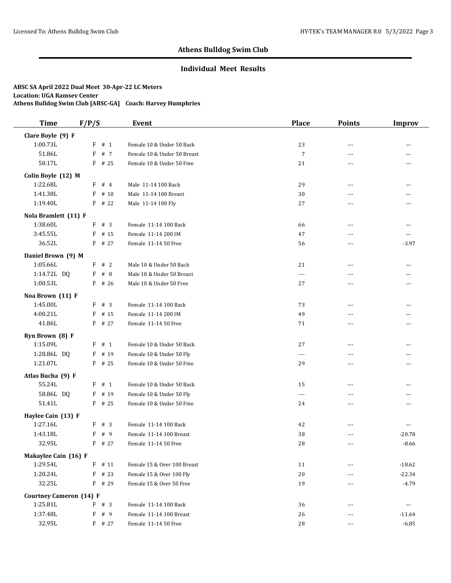### **Individual Meet Results**

| <b>Time</b>                      | F/P/S                 | <b>Event</b>                                         | <b>Place</b>         | <b>Points</b>  | <b>Improv</b>       |
|----------------------------------|-----------------------|------------------------------------------------------|----------------------|----------------|---------------------|
| Clare Boyle (9) F                |                       |                                                      |                      |                |                     |
| 1:00.73L                         | $F$ # 1               | Female 10 & Under 50 Back                            | 23                   | $- - -$        | $\overline{a}$      |
| 51.86L                           | $F$ # 7               | Female 10 & Under 50 Breast                          | $\sqrt{7}$           | ---            | ---                 |
| 50.17L                           | $F$ # 25              | Female 10 & Under 50 Free                            | 21                   | $---$          | $---$               |
| Colin Boyle (12) M               |                       |                                                      |                      |                |                     |
| 1:22.68L                         | $F$ # 4               | Male 11-14 100 Back                                  | 29                   | $- - -$        | $---$               |
| 1:41.38L                         | F<br># 10             | Male 11-14 100 Breast                                | 30                   | ---            | ---                 |
| 1:19.40L                         | $F$ # 22              | Male 11-14 100 Fly                                   | 27                   | ---            | ---                 |
|                                  |                       |                                                      |                      |                |                     |
| Nola Bramlett (11) F<br>1:38.60L | F # 3                 | Female 11-14 100 Back                                | 66                   | $- - -$        | $---$               |
| 3:45.55L                         | $F$ # 15              | Female 11-14 200 IM                                  | 47                   | ---            | $\overline{a}$      |
| 36.52L                           |                       |                                                      |                      |                |                     |
|                                  | $F$ # 27              | Female 11-14 50 Free                                 | 56                   | ---            | $-3.97$             |
| Daniel Brown (9) M               |                       |                                                      |                      |                |                     |
| 1:05.66L                         | #2<br>F               | Male 10 & Under 50 Back                              | 21                   | $\overline{a}$ | ---                 |
| 1:14.72L DQ                      | # 8<br>F              | Male 10 & Under 50 Breast                            | $\sim$ $\sim$ $\sim$ | $- - -$        | $- - -$             |
| 1:00.53L                         | $F$ # 26              | Male 10 & Under 50 Free                              | 27                   | $\overline{a}$ | $---$               |
| Noa Brown (11) F                 |                       |                                                      |                      |                |                     |
| 1:45.00L                         | #3<br>F               | Female 11-14 100 Back                                | 73                   | ---            | ---                 |
| 4:00.21L                         | F<br># 15             | Female 11-14 200 IM                                  | 49                   | ---            | ---                 |
| 41.86L                           | F # 27                | Female 11-14 50 Free                                 | 71                   | ---            | $\cdots$            |
| Ryn Brown (8) F                  |                       |                                                      |                      |                |                     |
| 1:15.09L                         | # 1<br>F              | Female 10 & Under 50 Back                            | 27                   | $---$          | $---$               |
| 1:28.86L DQ                      | F<br># 19             | Female 10 & Under 50 Fly                             | $\scriptstyle\cdots$ | ---            | ---                 |
| 1:21.07L                         | $F$ # 25              | Female 10 & Under 50 Free                            | 29                   | $---$          | $---$               |
| Atlas Bucha (9) F                |                       |                                                      |                      |                |                     |
| 55.24L                           | F # 1                 | Female 10 & Under 50 Back                            | 15                   | $- - -$        | ---                 |
| 58.86L DQ                        | F # 19                | Female 10 & Under 50 Fly                             | $\overline{a}$       | $\overline{a}$ | ---                 |
| 51.41L                           | $F$ # 25              | Female 10 & Under 50 Free                            | 24                   | ---            | $\cdots$            |
| Haylee Cain (13) F               |                       |                                                      |                      |                |                     |
| 1:27.16L                         | #3<br>F               | Female 11-14 100 Back                                | 42                   | ---            | $\cdots$            |
| 1:43.18L                         | F<br>#9               | Female 11-14 100 Breast                              | 38                   | $- - -$        | $-20.78$            |
| 32.95L                           | $F$ # 27              | Female 11-14 50 Free                                 | 28                   | ---            | $-8.66$             |
|                                  |                       |                                                      |                      |                |                     |
| Makaylee Cain (16) F             |                       |                                                      |                      |                |                     |
| 1:29.54L                         | F<br># 11<br>$F$ # 23 | Female 15 & Over 100 Breast                          | 11                   |                | $-18.62$            |
| 1:20.24L<br>32.25L               | $F$ # 29              | Female 15 & Over 100 Fly<br>Female 15 & Over 50 Free | 20<br>19             |                | $-22.34$<br>$-4.79$ |
|                                  |                       |                                                      |                      | ---            |                     |
| <b>Courtney Cameron (14) F</b>   |                       |                                                      |                      |                |                     |
| 1:25.81L                         | F # 3                 | Female 11-14 100 Back                                | 36                   | $- - -$        | $\cdots$            |
| 1:37.48L                         | F # 9                 | Female 11-14 100 Breast                              | 26                   | ---            | $-11.64$            |
| 32.95L                           | F # 27                | Female 11-14 50 Free                                 | 28                   | $---$          | $-6.85$             |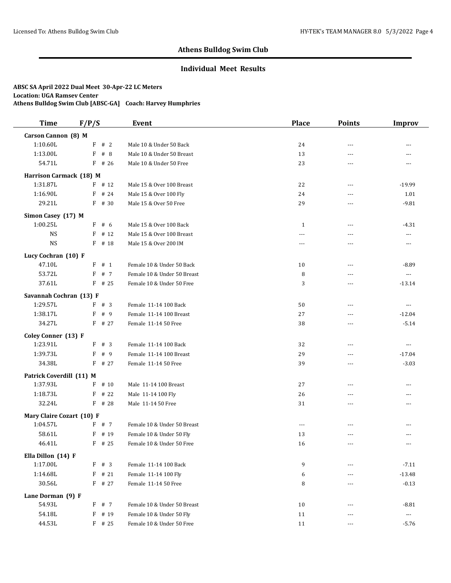### **Individual Meet Results**

| <b>Time</b>               | F/P/S     | Event                       | <b>Place</b> | <b>Points</b>  | <b>Improv</b>        |
|---------------------------|-----------|-----------------------------|--------------|----------------|----------------------|
| Carson Cannon (8) M       |           |                             |              |                |                      |
| 1:10.60L                  | $F$ # 2   | Male 10 & Under 50 Back     | 24           | ---            | ---                  |
| 1:13.00L                  | #8<br>F   | Male 10 & Under 50 Breast   | 13           | $---$          | ---                  |
| 54.71L                    | $F$ # 26  | Male 10 & Under 50 Free     | 23           | ---            | ---                  |
| Harrison Carmack (18) M   |           |                             |              |                |                      |
| 1:31.87L                  | $F$ # 12  | Male 15 & Over 100 Breast   | 22           | $\overline{a}$ | $-19.99$             |
| 1:16.90L                  | F<br># 24 | Male 15 & Over 100 Fly      | 24           | ---            | 1.01                 |
| 29.21L                    | F # 30    | Male 15 & Over 50 Free      | 29           | $\overline{a}$ | $-9.81$              |
| Simon Casey (17) M        |           |                             |              |                |                      |
| 1:00.25L                  | F<br># 6  | Male 15 & Over 100 Back     | $\mathbf{1}$ | $---$          | $-4.31$              |
| <b>NS</b>                 | # 12<br>F | Male 15 & Over 100 Breast   | ---          | ---            | $\cdots$             |
| <b>NS</b>                 | $F$ # 18  | Male 15 & Over 200 IM       | $---$        | $- - -$        | $\cdots$             |
| Lucy Cochran (10) F       |           |                             |              |                |                      |
| 47.10L                    | # 1<br>F  | Female 10 & Under 50 Back   | 10           | ---            | $-8.89$              |
| 53.72L                    | # 7<br>F  | Female 10 & Under 50 Breast | 8            | ---            | $\cdots$             |
| 37.61L                    | $F$ # 25  | Female 10 & Under 50 Free   | 3            | ---            | $-13.14$             |
|                           |           |                             |              |                |                      |
| Savannah Cochran (13) F   |           |                             |              |                |                      |
| 1:29.57L                  | F # 3     | Female 11-14 100 Back       | 50           | ---            | $\cdots$             |
| 1:38.17L<br>34.27L        | F<br># 9  | Female 11-14 100 Breast     | 27           | $---$          | $-12.04$             |
|                           | $F$ # 27  | Female 11-14 50 Free        | 38           | $\overline{a}$ | $-5.14$              |
| Coley Conner (13) F       |           |                             |              |                |                      |
| 1:23.91L                  | #3<br>F   | Female 11-14 100 Back       | 32           | $\overline{a}$ | $\overline{a}$       |
| 1:39.73L                  | F<br># 9  | Female 11-14 100 Breast     | 29           | $- - -$        | $-17.04$             |
| 34.38L                    | $F$ # 27  | Female 11-14 50 Free        | 39           | ---            | $-3.03$              |
| Patrick Coverdill (11) M  |           |                             |              |                |                      |
| 1:37.93L                  | $F$ # 10  | Male 11-14 100 Breast       | 27           | $- - -$        | $---$                |
| 1:18.73L                  | $F$ # 22  | Male 11-14 100 Fly          | 26           | ---            | ---                  |
| 32.24L                    | $F$ # 28  | Male 11-14 50 Free          | 31           | $---$          | $---$                |
| Mary Claire Cozart (10) F |           |                             |              |                |                      |
| 1:04.57L                  | F # 7     | Female 10 & Under 50 Breast | $\cdots$     | ---            |                      |
| 58.61L                    | $F$ # 19  | Female 10 & Under 50 Fly    | 13           | ---            | ---                  |
| 46.41L                    | $F$ # 25  | Female 10 & Under 50 Free   | 16           | ---            | $- - -$              |
| Ella Dillon (14) F        |           |                             |              |                |                      |
| 1:17.00L                  | F # 3     | Female 11-14 100 Back       | 9            |                | $-7.11$              |
| 1:14.68L                  | $F$ # 21  | Female 11-14 100 Fly        | 6            | ---            | $-13.48$             |
| 30.56L                    | $F$ # 27  | Female 11-14 50 Free        | 8            | ---            | $-0.13$              |
| Lane Dorman (9) F         |           |                             |              |                |                      |
| 54.93L                    | F # 7     | Female 10 & Under 50 Breast | $10\,$       | ---            | $-8.81$              |
| 54.18L                    | F # 19    | Female 10 & Under 50 Fly    | 11           |                | $\scriptstyle\cdots$ |
| 44.53L                    | $F$ # 25  | Female 10 & Under 50 Free   | 11           | $\cdots$       | $-5.76$              |
|                           |           |                             |              |                |                      |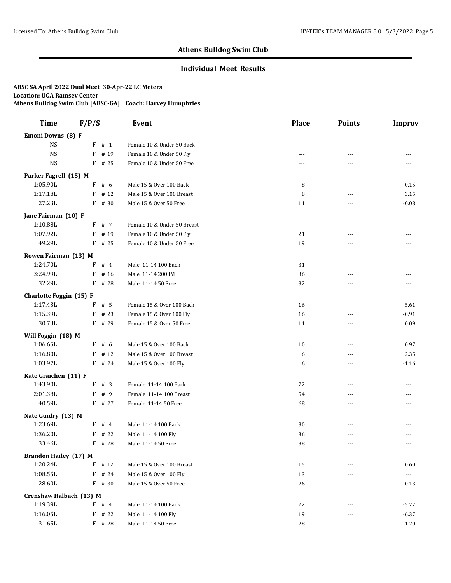### **Individual Meet Results**

| <b>Time</b>                  | F/P/S |          | Event                       | <b>Place</b> | <b>Points</b>  | <b>Improv</b>            |
|------------------------------|-------|----------|-----------------------------|--------------|----------------|--------------------------|
| Emoni Downs (8) F            |       |          |                             |              |                |                          |
| <b>NS</b>                    |       | $F$ # 1  | Female 10 & Under 50 Back   | $- - -$      | $\overline{a}$ | ---                      |
| <b>NS</b>                    | F     | # 19     | Female 10 & Under 50 Fly    | ---          | $\overline{a}$ | ---                      |
| <b>NS</b>                    |       | $F$ # 25 | Female 10 & Under 50 Free   | $- - -$      | $\overline{a}$ | $---$                    |
| Parker Fagrell (15) M        |       |          |                             |              |                |                          |
| 1:05.90L                     |       | F # 6    | Male 15 & Over 100 Back     | 8            | ---            | $-0.15$                  |
| 1:17.18L                     | F     | # 12     | Male 15 & Over 100 Breast   | 8            | $\overline{a}$ | 3.15                     |
| 27.23L                       | F     | # 30     | Male 15 & Over 50 Free      | 11           | ---            | $-0.08$                  |
| Jane Fairman (10) F          |       |          |                             |              |                |                          |
| 1:10.88L                     |       | F # 7    | Female 10 & Under 50 Breast | ---          | ---            | ---                      |
| 1:07.92L                     | F     | # 19     | Female 10 & Under 50 Fly    | 21           | $\overline{a}$ | $---$                    |
| 49.29L                       | F     | # 25     | Female 10 & Under 50 Free   | 19           | ---            | ---                      |
| Rowen Fairman (13) M         |       |          |                             |              |                |                          |
| 1:24.70L                     | F     | #4       | Male 11-14 100 Back         | 31           | $\overline{a}$ |                          |
| 3:24.99L                     | F     | # 16     | Male 11-14 200 IM           | 36           | $- - -$        | ---                      |
| 32.29L                       | F     | # 28     | Male 11-14 50 Free          | 32           | $\overline{a}$ | $\overline{a}$           |
| Charlotte Foggin (15) F      |       |          |                             |              |                |                          |
| 1:17.43L                     | F     | #5       | Female 15 & Over 100 Back   | 16           | $- - -$        | $-5.61$                  |
| 1:15.39L                     | F     | # 23     | Female 15 & Over 100 Fly    | 16           | ---            | $-0.91$                  |
| 30.73L                       |       | F # 29   | Female 15 & Over 50 Free    | 11           | $\overline{a}$ | 0.09                     |
| Will Foggin (18) M           |       |          |                             |              |                |                          |
| 1:06.65L                     | F     | # 6      | Male 15 & Over 100 Back     | 10           | ---            | 0.97                     |
| 1:16.80L                     | F     | #12      | Male 15 & Over 100 Breast   | 6            | ---            | 2.35                     |
| 1:03.97L                     |       | $F$ # 24 | Male 15 & Over 100 Fly      | 6            | ---            | $-1.16$                  |
| Kate Graichen (11) F         |       |          |                             |              |                |                          |
| 1:43.90L                     | F     | # 3      | Female 11-14 100 Back       | 72           | ---            | ---                      |
| 2:01.38L                     | F     | # 9      | Female 11-14 100 Breast     | 54           | $\overline{a}$ | $---$                    |
| 40.59L                       |       | $F$ # 27 | Female 11-14 50 Free        | 68           | $\overline{a}$ | ---                      |
| Nate Guidry (13) M           |       |          |                             |              |                |                          |
| 1:23.69L                     | F     | #4       | Male 11-14 100 Back         | 30           | $\overline{a}$ |                          |
| 1:36.20L                     | F     | # 22     | Male 11-14 100 Fly          | 36           | $- - -$        |                          |
| 33.46L                       |       | $F$ # 28 | Male 11-14 50 Free          | 38           | $\overline{a}$ | ---                      |
| <b>Brandon Hailey (17) M</b> |       |          |                             |              |                |                          |
| 1:20.24L                     | F     | # $12$   | Male 15 & Over 100 Breast   | 15           | $---$          | 0.60                     |
| 1:08.55L                     | F     | # 24     | Male 15 & Over 100 Fly      | 13           |                | $\hspace{0.05cm} \ldots$ |
| 28.60L                       |       | F # 30   | Male 15 & Over 50 Free      | 26           | $\cdots$       | 0.13                     |
| Crenshaw Halbach (13) M      |       |          |                             |              |                |                          |
| 1:19.39L                     |       | $F$ # 4  | Male 11-14 100 Back         | 22           | ---            | $-5.77$                  |
| 1:16.05L                     |       | $F$ # 22 | Male 11-14 100 Fly          | 19           | $\cdots$       | $-6.37$                  |
| 31.65L                       |       | $F$ # 28 | Male 11-14 50 Free          | 28           | ---            | $-1.20$                  |
|                              |       |          |                             |              |                |                          |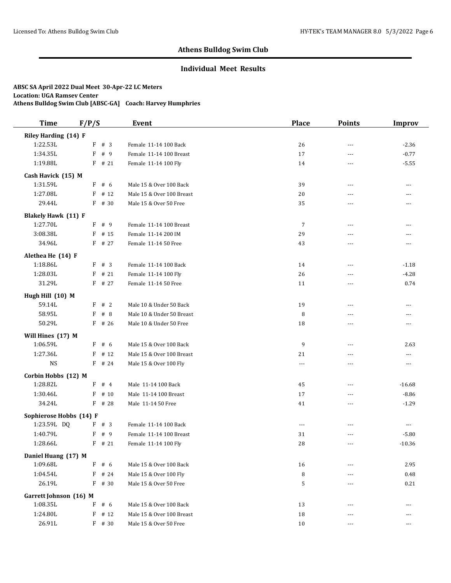## **Individual Meet Results**

| <b>Time</b>                | F/P/S     | Event                     | <b>Place</b>   | <b>Points</b>  | <b>Improv</b> |
|----------------------------|-----------|---------------------------|----------------|----------------|---------------|
| Riley Harding (14) F       |           |                           |                |                |               |
| 1:22.53L                   | F # 3     | Female 11-14 100 Back     | 26             | $\overline{a}$ | $-2.36$       |
| 1:34.35L                   | F<br># 9  | Female 11-14 100 Breast   | 17             | ---            | $-0.77$       |
| 1:19.88L                   | $F$ # 21  | Female 11-14 100 Fly      | 14             | ---            | $-5.55$       |
| Cash Havick (15) M         |           |                           |                |                |               |
| 1:31.59L                   | $F$ # 6   | Male 15 & Over 100 Back   | 39             | $\overline{a}$ | $- - -$       |
| 1:27.08L                   | # 12<br>F | Male 15 & Over 100 Breast | 20             | ---            | ---           |
| 29.44L                     | F<br># 30 | Male 15 & Over 50 Free    | 35             | $\overline{a}$ | ---           |
| <b>Blakely Hawk (11) F</b> |           |                           |                |                |               |
| 1:27.70L                   | $F$ # 9   | Female 11-14 100 Breast   | $\overline{7}$ | $\overline{a}$ | ---           |
| 3:08.38L                   | F<br># 15 | Female 11-14 200 IM       | 29             | $\overline{a}$ | ---           |
| 34.96L                     | F # 27    | Female 11-14 50 Free      | 43             | ---            | ---           |
| Alethea He (14) F          |           |                           |                |                |               |
| 1:18.86L                   | # 3<br>F  | Female 11-14 100 Back     | 14             | $\overline{a}$ | $-1.18$       |
| 1:28.03L                   | # 21<br>F | Female 11-14 100 Fly      | 26             | $---$          | $-4.28$       |
| 31.29L                     | F # 27    | Female 11-14 50 Free      | 11             | $\overline{a}$ | 0.74          |
| Hugh Hill (10) M           |           |                           |                |                |               |
| 59.14L                     | #2<br>F   | Male 10 & Under 50 Back   | 19             | $\overline{a}$ | $---$         |
| 58.95L                     | #8<br>F   | Male 10 & Under 50 Breast | 8              | $\overline{a}$ | ---           |
| 50.29L                     | $F$ # 26  | Male 10 & Under 50 Free   | 18             | $\overline{a}$ | $---$         |
| Will Hines (17) M          |           |                           |                |                |               |
| 1:06.59L                   | F<br># 6  | Male 15 & Over 100 Back   | 9              | $\overline{a}$ | 2.63          |
| 1:27.36L                   | F<br># 12 | Male 15 & Over 100 Breast | 21             | $\overline{a}$ | ---           |
| <b>NS</b>                  | F # 24    | Male 15 & Over 100 Fly    | $\overline{a}$ | $- - -$        | $---$         |
| Corbin Hobbs (12) M        |           |                           |                |                |               |
| 1:28.82L                   | #4<br>F   | Male 11-14 100 Back       | 45             | ---            | $-16.68$      |
| 1:30.46L                   | # 10<br>F | Male 11-14 100 Breast     | 17             | $\overline{a}$ | $-8.86$       |
| 34.24L                     | $F$ # 28  | Male 11-14 50 Free        | 41             | ---            | $-1.29$       |
| Sophierose Hobbs (14) F    |           |                           |                |                |               |
| 1:23.59L DQ                | #3<br>F   | Female 11-14 100 Back     | $---$          | $\overline{a}$ | $\cdots$      |
| 1:40.79L                   | F<br># 9  | Female 11-14 100 Breast   | 31             | ---            | $-5.80$       |
| 1:28.66L                   | $F$ # 21  | Female 11-14 100 Fly      | 28             | ---            | $-10.36$      |
| Daniel Huang (17) M        |           |                           |                |                |               |
| 1:09.68L                   | #6<br>F   | Male 15 & Over 100 Back   | 16             | ---            | 2.95          |
| 1:04.54L                   | $F$ # 24  | Male 15 & Over 100 Fly    | 8              |                | 0.48          |
| 26.19L                     | $F$ # 30  | Male 15 & Over 50 Free    | 5              | ---            | $0.21\,$      |
| Garrett Johnson (16) M     |           |                           |                |                |               |
| 1:08.35L                   | F<br># 6  | Male 15 & Over 100 Back   | 13             | ---            |               |
| 1:24.80L                   | $F$ # 12  | Male 15 & Over 100 Breast | 18             |                | ---           |
| 26.91L                     | F # 30    | Male 15 & Over 50 Free    | 10             |                | ---           |
|                            |           |                           |                |                |               |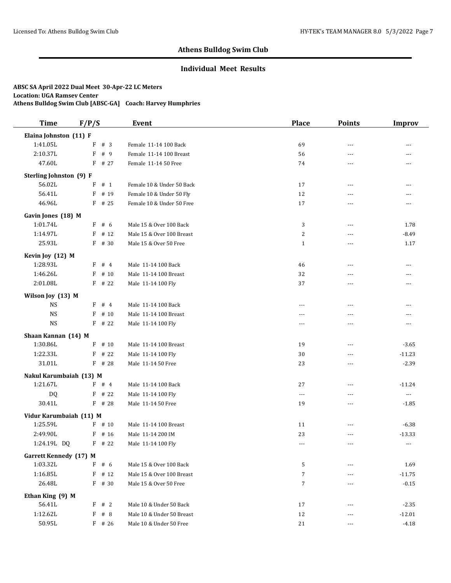### **Individual Meet Results**

| <b>Time</b>                   | F/P/S     | Event                     | <b>Place</b>   | <b>Points</b>  | Improv   |
|-------------------------------|-----------|---------------------------|----------------|----------------|----------|
| Elaina Johnston (11) F        |           |                           |                |                |          |
| 1:41.05L                      | $F$ # 3   | Female 11-14 100 Back     | 69             | $\overline{a}$ | ---      |
| 2:10.37L                      | F<br># 9  | Female 11-14 100 Breast   | 56             | $\overline{a}$ | ---      |
| 47.60L                        | $F$ # 27  | Female 11-14 50 Free      | 74             | ---            | ---      |
| Sterling Johnston (9) F       |           |                           |                |                |          |
| 56.02L                        | $F$ # 1   | Female 10 & Under 50 Back | 17             | $\overline{a}$ | ---      |
| 56.41L                        | # 19<br>F | Female 10 & Under 50 Fly  | 12             | ---            | ---      |
| 46.96L                        | $F$ # 25  | Female 10 & Under 50 Free | 17             | $\overline{a}$ | ---      |
| Gavin Jones (18) M            |           |                           |                |                |          |
| 1:01.74L                      | F # 6     | Male 15 & Over 100 Back   | 3              | $\overline{a}$ | 1.78     |
| 1:14.97L                      | # 12<br>F | Male 15 & Over 100 Breast | $\overline{c}$ | $\overline{a}$ | $-8.49$  |
| 25.93L                        | F # 30    | Male 15 & Over 50 Free    | $\mathbf{1}$   | ---            | 1.17     |
| Kevin Joy (12) M              |           |                           |                |                |          |
| 1:28.93L                      | #4<br>F   | Male 11-14 100 Back       | 46             | $\overline{a}$ | ---      |
| 1:46.26L                      | # 10<br>F | Male 11-14 100 Breast     | 32             | $---$          | ---      |
| 2:01.08L                      | $F$ # 22  | Male 11-14 100 Fly        | 37             | $\overline{a}$ | $---$    |
| Wilson Joy (13) M             |           |                           |                |                |          |
| <b>NS</b>                     | $F$ # 4   | Male 11-14 100 Back       | $- - -$        | $\overline{a}$ | ---      |
| <b>NS</b>                     | # 10<br>F | Male 11-14 100 Breast     | $\sim$ $\sim$  | $\overline{a}$ | ---      |
| <b>NS</b>                     | $F$ # 22  | Male 11-14 100 Fly        | $- - -$        | $\overline{a}$ | $---$    |
| Shaan Kannan (14) M           |           |                           |                |                |          |
| 1:30.86L                      | F<br># 10 | Male 11-14 100 Breast     | 19             | $- - -$        | $-3.65$  |
| 1:22.33L                      | F<br># 22 | Male 11-14 100 Fly        | 30             | ---            | $-11.23$ |
| 31.01L                        | F # 28    | Male 11-14 50 Free        | 23             | $\overline{a}$ | $-2.39$  |
| Nakul Karumbaiah (13) M       |           |                           |                |                |          |
| 1:21.67L                      | $F$ # 4   | Male 11-14 100 Back       | 27             | ---            | $-11.24$ |
| DQ                            | F # 22    | Male 11-14 100 Fly        | $\overline{a}$ | $\overline{a}$ | $\cdots$ |
| 30.41L                        | $F$ # 28  | Male 11-14 50 Free        | 19             | ---            | $-1.85$  |
| Vidur Karumbaiah (11) M       |           |                           |                |                |          |
| 1:25.59L                      | $F$ # 10  | Male 11-14 100 Breast     | 11             | $\overline{a}$ | $-6.38$  |
| 2:49.90L                      | $F$ # 16  | Male 11-14 200 IM         | 23             | ---            | $-13.33$ |
| 1:24.19L DQ                   | $F$ # 22  | Male 11-14 100 Fly        | $\overline{a}$ | ---            | $\cdots$ |
| <b>Garrett Kennedy (17) M</b> |           |                           |                |                |          |
| 1:03.32L                      | # 6<br>F  | Male 15 & Over 100 Back   | 5              | ---            | 1.69     |
| 1:16.85L                      | $F$ # 12  | Male 15 & Over 100 Breast | 7              |                | $-11.75$ |
| 26.48L                        | $F$ # 30  | Male 15 & Over 50 Free    | $\overline{7}$ | $---$          | $-0.15$  |
| Ethan King (9) M              |           |                           |                |                |          |
| 56.41L                        | F # 2     | Male 10 & Under 50 Back   | 17             | ---            | $-2.35$  |
| 1:12.62L                      | F<br># 8  | Male 10 & Under 50 Breast | 12             |                | $-12.01$ |
| 50.95L                        | $F$ # 26  | Male 10 & Under 50 Free   | 21             |                | $-4.18$  |
|                               |           |                           |                |                |          |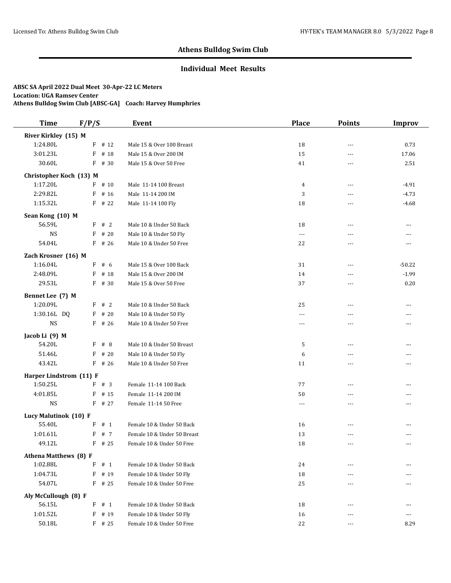## **Individual Meet Results**

| <b>Time</b>             | F/P/S        |          | Event                       | <b>Place</b>         | <b>Points</b> | <b>Improv</b> |
|-------------------------|--------------|----------|-----------------------------|----------------------|---------------|---------------|
| River Kirkley (15) M    |              |          |                             |                      |               |               |
| 1:24.80L                |              | $F$ # 12 | Male 15 & Over 100 Breast   | 18                   | $---$         | 0.73          |
| 3:01.23L                | $\mathbf{F}$ | # 18     | Male 15 & Over 200 IM       | 15                   | $\sim$ $\sim$ | 17.06         |
| 30.60L                  | F            | # 30     | Male 15 & Over 50 Free      | 41                   | ---           | 2.51          |
| Christopher Koch (13) M |              |          |                             |                      |               |               |
| 1:17.20L                |              | $F$ # 10 | Male 11-14 100 Breast       | 4                    | $---$         | $-4.91$       |
| 2:29.82L                | F            | # 16     | Male 11-14 200 IM           | 3                    | ---           | $-4.73$       |
| 1:15.32L                | F            | # 22     | Male 11-14 100 Fly          | 18                   | $---$         | $-4.68$       |
| Sean Kong (10) M        |              |          |                             |                      |               |               |
| 56.59L                  | F # 2        |          | Male 10 & Under 50 Back     | 18                   | $\sim$ $\sim$ | ---           |
| <b>NS</b>               | $\mathbf{F}$ | # 20     | Male 10 & Under 50 Fly      | $\scriptstyle\cdots$ | ---           | ---           |
| 54.04L                  |              | $F$ # 26 | Male 10 & Under 50 Free     | 22                   | $- - -$       | ---           |
| Zach Krosner (16) M     |              |          |                             |                      |               |               |
| 1:16.04L                | F            | # 6      | Male 15 & Over 100 Back     | 31                   | ---           | $-50.22$      |
| 2:48.09L                | F            | # 18     | Male 15 & Over 200 IM       | 14                   | $-$           | $-1.99$       |
| 29.53L                  | F            | # 30     | Male 15 & Over 50 Free      | 37                   | $---$         | 0.20          |
| Bennet Lee (7) M        |              |          |                             |                      |               |               |
| 1:20.09L                | F            | #2       | Male 10 & Under 50 Back     | 25                   | ---           | ---           |
| 1:30.16L DQ             | F            | # 20     | Male 10 & Under 50 Fly      | $---$                | $- - -$       | ---           |
| <b>NS</b>               |              | $F$ # 26 | Male 10 & Under 50 Free     | ---                  | ---           | ---           |
| Jacob Li (9) M          |              |          |                             |                      |               |               |
| 54.20L                  | F            | #8       | Male 10 & Under 50 Breast   | 5                    | ---           | ---           |
| 51.46L                  | F            | #20      | Male 10 & Under 50 Fly      | 6                    | ---           | ---           |
| 43.42L                  | F            | # 26     | Male 10 & Under 50 Free     | 11                   | ---           | ---           |
| Harper Lindstrom (11) F |              |          |                             |                      |               |               |
| 1:50.25L                | F            | #3       | Female 11-14 100 Back       | 77                   | $- - -$       | ---           |
| 4:01.85L                | F            | # 15     | Female 11-14 200 IM         | 50                   | $---$         | ---           |
| <b>NS</b>               |              | F # 27   | Female 11-14 50 Free        | $---$                | $- - -$       | ---           |
| Lucy Malutinok (10) F   |              |          |                             |                      |               |               |
| 55.40L                  | F            | # 1      | Female 10 & Under 50 Back   | 16                   | ---           | ---           |
| 1:01.61L                | F            | #7       | Female 10 & Under 50 Breast | 13                   | ---           | ---           |
| 49.12L                  |              | $F$ # 25 | Female 10 & Under 50 Free   | 18                   | ---           | ---           |
| Athena Matthews (8) F   |              |          |                             |                      |               |               |
| 1:02.88L                | F            | # 1      | Female 10 & Under 50 Back   | 24                   |               |               |
| 1:04.73L                | F            | # 19     | Female 10 & Under 50 Fly    | 18                   | ---           | ---           |
| 54.07L                  | F # 25       |          | Female 10 & Under 50 Free   | 25                   | ---           | ---           |
| Aly McCullough (8) F    |              |          |                             |                      |               |               |
| 56.15L                  | F            | #1       | Female 10 & Under 50 Back   | 18                   | $---$         | ---           |
| 1:01.52L                | F            | # 19     | Female 10 & Under 50 Fly    | 16                   | ---           | ---           |
| 50.18L                  |              | $F$ # 25 | Female 10 & Under 50 Free   | 22                   | $---$         | 8.29          |
|                         |              |          |                             |                      |               |               |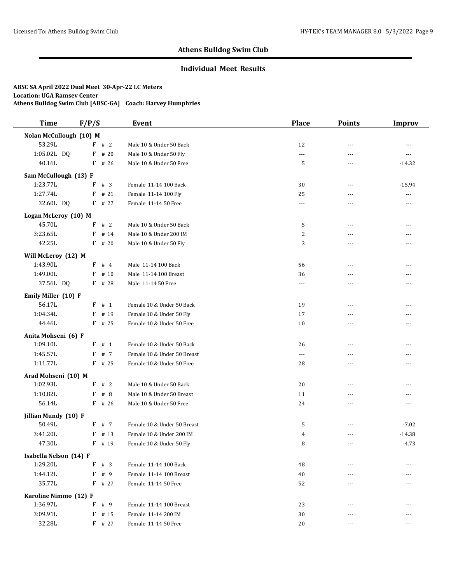## **Individual Meet Results**

| <b>Time</b>             | F/P/S     | Event                       | <b>Place</b>   | <b>Points</b> | <b>Improv</b>  |
|-------------------------|-----------|-----------------------------|----------------|---------------|----------------|
| Nolan McCullough (10) M |           |                             |                |               |                |
| 53.29L                  | F # 2     | Male 10 & Under 50 Back     | 12             | $\sim$ $\sim$ | $---$          |
| 1:05.02L DQ             | $F$ # 20  | Male 10 & Under 50 Fly      | $\ldots$       | $-$           | ---            |
| 40.16L                  | $F$ # 26  | Male 10 & Under 50 Free     | 5              | $\cdots$      | $-14.32$       |
| Sam McCullough (13) F   |           |                             |                |               |                |
| 1:23.77L                | #3<br>F   | Female 11-14 100 Back       | 30             | $---$         | $-15.94$       |
| 1:27.74L                | F<br># 21 | Female 11-14 100 Fly        | 25             | $-$           | $\overline{a}$ |
| 32.60L DQ               | $F$ # 27  | Female 11-14 50 Free        | $\cdots$       | $-$           | ---            |
| Logan McLeroy (10) M    |           |                             |                |               |                |
| 45.70L                  | #2<br>F   | Male 10 & Under 50 Back     | 5              | $\sim$ $\sim$ | ---            |
| 3:23.65L                | F<br># 14 | Male 10 & Under 200 IM      | 2              | $---$         | ---            |
| 42.25L                  | $F$ # 20  | Male 10 & Under 50 Fly      | 3              | $---$         | ---            |
| Will McLeroy (12) M     |           |                             |                |               |                |
| 1:43.90L                | #4<br>F   | Male 11-14 100 Back         | 56             | $-$           | ---            |
| 1:49.00L                | F<br># 10 | Male 11-14 100 Breast       | 36             | $- - -$       | ---            |
| 37.56L DQ               | $F$ # 28  | Male 11-14 50 Free          | $\overline{a}$ | $\sim$ $\sim$ | ---            |
| Emily Miller (10) F     |           |                             |                |               |                |
| 56.17L                  | # 1<br>F  | Female 10 & Under 50 Back   | 19             | $\sim$ $\sim$ | ---            |
| 1:04.34L                | F<br># 19 | Female 10 & Under 50 Fly    | 17             | $---$         | ---            |
| 44.46L                  | $F$ # 25  | Female 10 & Under 50 Free   | 10             | $\sim$ $\sim$ | ---            |
| Anita Mohseni (6) F     |           |                             |                |               |                |
| 1:09.10L                | # 1<br>F  | Female 10 & Under 50 Back   | 26             | $- - -$       | ---            |
| 1:45.57L                | # 7<br>F  | Female 10 & Under 50 Breast | $\overline{a}$ | $-$           | ---            |
| 1:11.77L                | $F$ # 25  | Female 10 & Under 50 Free   | 28             | ---           | ---            |
| Arad Mohseni (10) M     |           |                             |                |               |                |
| 1:02.93L                | #2<br>F   | Male 10 & Under 50 Back     | 20             | $---$         | ---            |
| 1:10.82L                | #8<br>F   | Male 10 & Under 50 Breast   | 11             | $- - -$       | ---            |
| 56.14L                  | $F$ # 26  | Male 10 & Under 50 Free     | 24             | ---           | ---            |
| Jillian Mundy (10) F    |           |                             |                |               |                |
| 50.49L                  | # 7<br>F  | Female 10 & Under 50 Breast | 5              | $\sim$ $\sim$ | $-7.02$        |
| 3:41.20L                | F<br># 13 | Female 10 & Under 200 IM    | $\overline{4}$ | ---           | $-14.38$       |
| 47.30L                  | F # 19    | Female 10 & Under 50 Fly    | 8              | $---$         | $-4.73$        |
| Isabella Nelson (14) F  |           |                             |                |               |                |
| 1:29.20L                | F<br># 3  | Female 11-14 100 Back       | 48             | $---$         |                |
| 1:44.12L                | F<br>#9   | Female 11-14 100 Breast     | 40             |               |                |
| 35.77L                  | $F$ # 27  | Female 11-14 50 Free        | 52             | ---           | ---            |
| Karoline Nimmo (12) F   |           |                             |                |               |                |
| 1:36.97L                | F<br># 9  | Female 11-14 100 Breast     | 23             | ---           |                |
| 3:09.91L                | $F$ # 15  | Female 11-14 200 IM         | 30             |               | ---            |
| 32.28L                  | F # 27    | Female 11-14 50 Free        | 20             |               | ---            |
|                         |           |                             |                |               |                |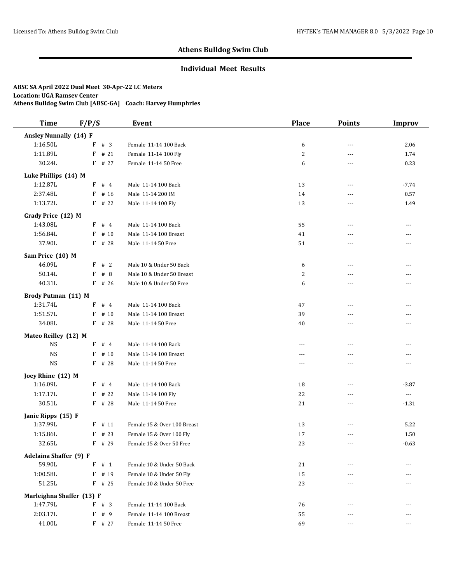## **Individual Meet Results**

| <b>Time</b>                   | F/P/S     | Event                       | <b>Place</b>   | <b>Points</b>  | <b>Improv</b>            |
|-------------------------------|-----------|-----------------------------|----------------|----------------|--------------------------|
| <b>Ansley Nunnally (14) F</b> |           |                             |                |                |                          |
| 1:16.50L                      | F # 3     | Female 11-14 100 Back       | 6              | $\overline{a}$ | 2.06                     |
| 1:11.89L                      | $F$ # 21  | Female 11-14 100 Fly        | $\overline{c}$ | $\overline{a}$ | 1.74                     |
| 30.24L                        | $F$ # 27  | Female 11-14 50 Free        | 6              | $\overline{a}$ | 0.23                     |
| Luke Phillips (14) M          |           |                             |                |                |                          |
| 1:12.87L                      | $F$ # 4   | Male 11-14 100 Back         | 13             | $\overline{a}$ | $-7.74$                  |
| 2:37.48L                      | # 16<br>F | Male 11-14 200 IM           | 14             | ---            | 0.57                     |
| 1:13.72L                      | $F$ # 22  | Male 11-14 100 Fly          | 13             | $- - -$        | 1.49                     |
| Grady Price (12) M            |           |                             |                |                |                          |
| 1:43.08L                      | F # 4     | Male 11-14 100 Back         | 55             | $- - -$        | ---                      |
| 1:56.84L                      | # 10<br>F | Male 11-14 100 Breast       | 41             | ---            | ---                      |
| 37.90L                        | $F$ # 28  | Male 11-14 50 Free          | 51             | $\overline{a}$ | ---                      |
| Sam Price (10) M              |           |                             |                |                |                          |
| 46.09L                        | #2<br>F   | Male 10 & Under 50 Back     | 6              | $\overline{a}$ | ---                      |
| 50.14L                        | F<br>#8   | Male 10 & Under 50 Breast   | $\overline{c}$ | $- - -$        | ---                      |
| 40.31L                        | $F$ # 26  | Male 10 & Under 50 Free     | 6              | $\overline{a}$ | ---                      |
|                               |           |                             |                |                |                          |
| <b>Brody Putman (11) M</b>    |           |                             |                |                |                          |
| 1:31.74L                      | #4<br>F   | Male 11-14 100 Back         | 47             | ---            | ---                      |
| 1:51.57L                      | F<br># 10 | Male 11-14 100 Breast       | 39             | $- - -$        | ---                      |
| 34.08L                        | F # 28    | Male 11-14 50 Free          | 40             | ---            | ---                      |
| Mateo Reilley (12) M          |           |                             |                |                |                          |
| <b>NS</b>                     | F<br>#4   | Male 11-14 100 Back         | $- - -$        | $\overline{a}$ | ---                      |
| <b>NS</b>                     | F<br># 10 | Male 11-14 100 Breast       | $\overline{a}$ | $\overline{a}$ | ---                      |
| <b>NS</b>                     | F # 28    | Male 11-14 50 Free          | $---$          | $\overline{a}$ | $---$                    |
| Joey Rhine (12) M             |           |                             |                |                |                          |
| 1:16.09L                      | $F$ # 4   | Male 11-14 100 Back         | 18             | ---            | $-3.87$                  |
| 1:17.17L                      | # 22<br>F | Male 11-14 100 Fly          | 22             | ---            | $\overline{\phantom{a}}$ |
| 30.51L                        | F # 28    | Male 11-14 50 Free          | 21             | ---            | $-1.31$                  |
| Janie Ripps (15) F            |           |                             |                |                |                          |
| 1:37.99L                      | # 11<br>F | Female 15 & Over 100 Breast | 13             | ---            | 5.22                     |
| 1:15.86L                      | # 23<br>F | Female 15 & Over 100 Fly    | 17             | $- - -$        | 1.50                     |
| 32.65L                        | F # 29    | Female 15 & Over 50 Free    | 23             | ---            | $-0.63$                  |
| Adelaina Shaffer (9) F        |           |                             |                |                |                          |
| 59.90L                        | # 1<br>F  | Female 10 & Under 50 Back   | 21             |                |                          |
| 1:00.58L                      | F<br># 19 | Female 10 & Under 50 Fly    | 15             |                |                          |
| 51.25L                        | $F$ # 25  | Female 10 & Under 50 Free   | 23             |                |                          |
| Marleighna Shaffer (13) F     |           |                             |                |                |                          |
| 1:47.79L                      | F # 3     | Female 11-14 100 Back       | 76             | $---$          | ---                      |
| 2:03.17L                      | F # 9     | Female 11-14 100 Breast     | 55             | $---$          | ---                      |
| 41.00L                        | F # 27    | Female 11-14 50 Free        | 69             | $---$          | ---                      |
|                               |           |                             |                |                |                          |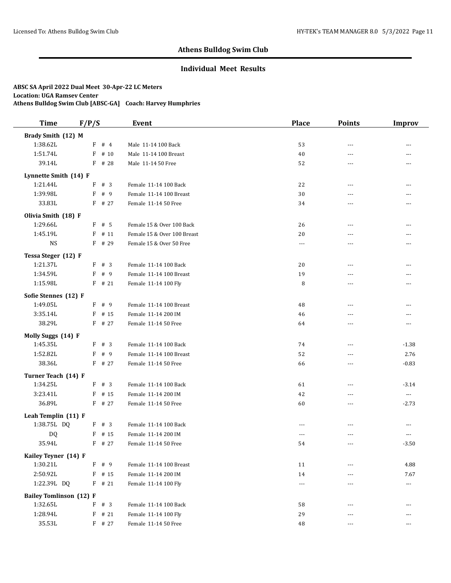### **Individual Meet Results**

| <b>Time</b>                    | F/P/S        |          | Event                       | <b>Place</b>  | <b>Points</b>  | Improv                   |
|--------------------------------|--------------|----------|-----------------------------|---------------|----------------|--------------------------|
| Brady Smith (12) M             |              |          |                             |               |                |                          |
| 1:38.62L                       |              | F # 4    | Male 11-14 100 Back         | 53            | $\overline{a}$ | ---                      |
| 1:51.74L                       | $\mathbf{F}$ | # 10     | Male 11-14 100 Breast       | 40            | $\overline{a}$ | ---                      |
| 39.14L                         |              | F # 28   | Male 11-14 50 Free          | 52            | ---            | ---                      |
| Lynnette Smith (14) F          |              |          |                             |               |                |                          |
| 1:21.44L                       | F            | #3       | Female 11-14 100 Back       | 22            | $\overline{a}$ | ---                      |
| 1:39.98L                       | F            | # 9      | Female 11-14 100 Breast     | 30            | ---            |                          |
| 33.83L                         |              | $F$ # 27 | Female 11-14 50 Free        | 34            | $\overline{a}$ | ---                      |
| Olivia Smith (18) F            |              |          |                             |               |                |                          |
| 1:29.66L                       |              | $F$ # 5  | Female 15 & Over 100 Back   | 26            | $\overline{a}$ | ---                      |
| 1:45.19L                       | F            | # 11     | Female 15 & Over 100 Breast | 20            | $\overline{a}$ | ---                      |
| <b>NS</b>                      |              | F # 29   | Female 15 & Over 50 Free    | ---           | $\overline{a}$ | ---                      |
|                                |              |          |                             |               |                |                          |
| Tessa Steger (12) F            |              |          | Female 11-14 100 Back       |               |                |                          |
| 1:21.37L<br>1:34.59L           | F<br>F       | # 3      |                             | 20            | $\overline{a}$ | ---                      |
|                                |              | # 9      | Female 11-14 100 Breast     | 19            | $---$          | ---                      |
| 1:15.98L                       |              | $F$ # 21 | Female 11-14 100 Fly        | 8             | $\overline{a}$ | ---                      |
| Sofie Stennes (12) F           |              |          |                             |               |                |                          |
| 1:49.05L                       | F            | # 9      | Female 11-14 100 Breast     | 48            | $\overline{a}$ | ---                      |
| 3:35.14L                       | F            | # 15     | Female 11-14 200 IM         | 46            | $\overline{a}$ | ---                      |
| 38.29L                         |              | F # 27   | Female 11-14 50 Free        | 64            | $\overline{a}$ | $---$                    |
| Molly Suggs (14) F             |              |          |                             |               |                |                          |
| 1:45.35L                       | F            | # 3      | Female 11-14 100 Back       | 74            | $- - -$        | $-1.38$                  |
| 1:52.82L                       | F            | # 9      | Female 11-14 100 Breast     | 52            | ---            | 2.76                     |
| 38.36L                         |              | F # 27   | Female 11-14 50 Free        | 66            | $\overline{a}$ | $-0.83$                  |
| Turner Teach (14) F            |              |          |                             |               |                |                          |
| 1:34.25L                       | F            | # 3      | Female 11-14 100 Back       | 61            | $\overline{a}$ | $-3.14$                  |
| 3:23.41L                       | F            | # 15     | Female 11-14 200 IM         | 42            | $\overline{a}$ | $\overline{\phantom{a}}$ |
| 36.89L                         |              | $F$ # 27 | Female 11-14 50 Free        | 60            | ---            | $-2.73$                  |
| Leah Templin (11) F            |              |          |                             |               |                |                          |
| 1:38.75L DQ                    | F            | #3       | Female 11-14 100 Back       | $\sim$ $\sim$ | ---            | $- - -$                  |
| DQ                             | F            | # 15     | Female 11-14 200 IM         | $- - -$       | ---            | $---$                    |
| 35.94L                         |              | $F$ # 27 | Female 11-14 50 Free        | 54            | ---            | $-3.50$                  |
| Kailey Teyner (14) F           |              |          |                             |               |                |                          |
| 1:30.21L                       | F            | # 9      | Female 11-14 100 Breast     | 11            | $---$          | 4.88                     |
| 2:50.92L                       |              | $F$ # 15 | Female 11-14 200 IM         | 14            |                | 7.67                     |
| 1:22.39L DQ                    |              | $F$ # 21 | Female 11-14 100 Fly        | $---$         | ---            | $\scriptstyle \cdots$    |
| <b>Bailey Tomlinson (12) F</b> |              |          |                             |               |                |                          |
| 1:32.65L                       | F            | #3       | Female 11-14 100 Back       | 58            | ---            | ---                      |
| 1:28.94L                       |              | $F$ # 21 | Female 11-14 100 Fly        | 29            | ---            | ---                      |
| 35.53L                         |              | $F$ # 27 | Female 11-14 50 Free        | 48            | ---            | ---                      |
|                                |              |          |                             |               |                |                          |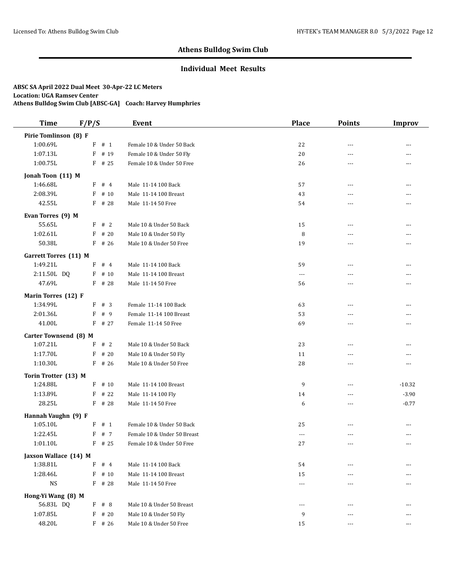### **Individual Meet Results**

| <b>Time</b>           | F/P/S        |          | Event                       | <b>Place</b>         | <b>Points</b>  | Improv   |
|-----------------------|--------------|----------|-----------------------------|----------------------|----------------|----------|
| Pirie Tomlinson (8) F |              |          |                             |                      |                |          |
| 1:00.69L              |              | $F$ # 1  | Female 10 & Under 50 Back   | 22                   | $\overline{a}$ |          |
| 1:07.13L              |              | $F$ # 19 | Female 10 & Under 50 Fly    | 20                   | $- - -$        | ---      |
| 1:00.75L              |              | $F$ # 25 | Female 10 & Under 50 Free   | 26                   | $\overline{a}$ | ---      |
| Jonah Toon (11) M     |              |          |                             |                      |                |          |
| 1:46.68L              | F            | #4       | Male 11-14 100 Back         | 57                   | $\overline{a}$ | ---      |
| 2:08.39L              | F            | # 10     | Male 11-14 100 Breast       | 43                   | ---            | ---      |
| 42.55L                | F            | # 28     | Male 11-14 50 Free          | 54                   | $- - -$        | ---      |
| Evan Torres (9) M     |              |          |                             |                      |                |          |
| 55.65L                |              | F # 2    | Male 10 & Under 50 Back     | 15                   | ---            | ---      |
| 1:02.61L              | F            | # 20     | Male 10 & Under 50 Fly      | 8                    | ---            |          |
| 50.38L                |              | $F$ # 26 | Male 10 & Under 50 Free     | 19                   | $\overline{a}$ | ---      |
| Garrett Torres (11) M |              |          |                             |                      |                |          |
| 1:49.21L              | $\mathbf{F}$ | #4       | Male 11-14 100 Back         | 59                   | ---            | ---      |
| 2:11.50L DQ           | F            | # 10     | Male 11-14 100 Breast       | $\sim$ $\sim$ $\sim$ | $- - -$        | ---      |
| 47.69L                | F            | # 28     | Male 11-14 50 Free          | 56                   | $\sim$ $\sim$  | ---      |
| Marin Torres (12) F   |              |          |                             |                      |                |          |
| 1:34.99L              | F            | # 3      | Female 11-14 100 Back       | 63                   | ---            | ---      |
| 2:01.36L              | F            | # 9      | Female 11-14 100 Breast     | 53                   | $- - -$        | ---      |
| 41.00L                | F            | # 27     | Female 11-14 50 Free        | 69                   | $\overline{a}$ | ---      |
| Carter Townsend (8) M |              |          |                             |                      |                |          |
| 1:07.21L              | F            | #2       | Male 10 & Under 50 Back     | 23                   | $\overline{a}$ | ---      |
| 1:17.70L              | F            | # 20     | Male 10 & Under 50 Fly      | 11                   | $\overline{a}$ | ---      |
| 1:10.30L              |              | $F$ # 26 | Male 10 & Under 50 Free     | 28                   | $\overline{a}$ | $---$    |
| Torin Trotter (13) M  |              |          |                             |                      |                |          |
| 1:24.88L              |              | $F$ # 10 | Male 11-14 100 Breast       | 9                    | ---            | $-10.32$ |
| 1:13.89L              | F            | # 22     | Male 11-14 100 Fly          | 14                   | ---            | $-3.90$  |
| 28.25L                |              | $F$ # 28 | Male 11-14 50 Free          | 6                    | ---            | $-0.77$  |
| Hannah Vaughn (9) F   |              |          |                             |                      |                |          |
| 1:05.10L              | F            | # 1      | Female 10 & Under 50 Back   | 25                   | ---            | ---      |
| 1:22.45L              | F            | # 7      | Female 10 & Under 50 Breast | $\overline{a}$       | ---            | ---      |
| 1:01.10L              |              | $F$ # 25 | Female 10 & Under 50 Free   | 27                   | ---            | ---      |
| Jaxson Wallace (14) M |              |          |                             |                      |                |          |
| 1:38.81L              | F            | #4       | Male 11-14 100 Back         | 54                   |                |          |
| 1:28.46L              | F            | # 10     | Male 11-14 100 Breast       | 15                   |                |          |
| <b>NS</b>             |              | $F$ # 28 | Male 11-14 50 Free          | $---$                |                |          |
| Hong-Yi Wang (8) M    |              |          |                             |                      |                |          |
| 56.83L DQ             |              | F # 8    | Male 10 & Under 50 Breast   | $---$                | $---$          | ---      |
| 1:07.85L              |              | $F$ # 20 | Male 10 & Under 50 Fly      | 9                    | $---$          | ---      |
| 48.20L                |              | F # 26   | Male 10 & Under 50 Free     | 15                   | $---$          | ---      |
|                       |              |          |                             |                      |                |          |